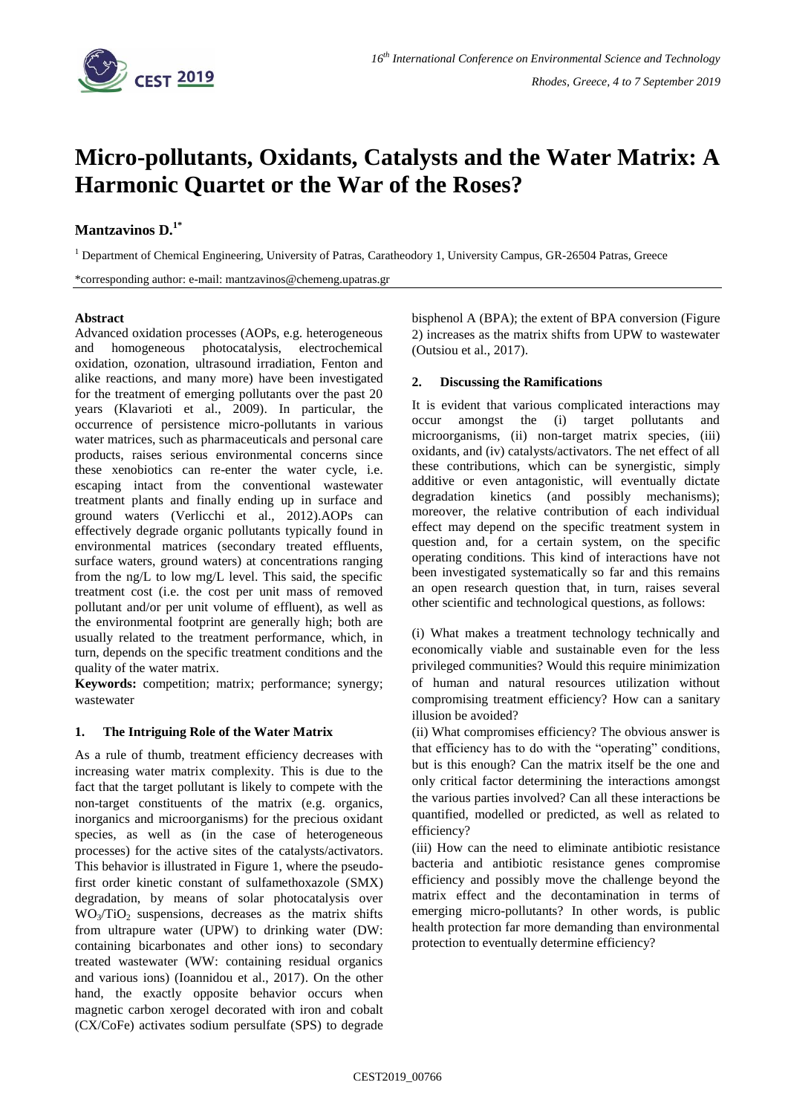

# **Micro-pollutants, Oxidants, Catalysts and the Water Matrix: A Harmonic Quartet or the War of the Roses?**

## **Mantzavinos D. 1\***

<sup>1</sup> Department of Chemical Engineering, University of Patras, Caratheodory 1, University Campus, GR-26504 Patras, Greece

\*corresponding author: e-mail: mantzavinos@chemeng.upatras.gr

#### **Abstract**

Advanced oxidation processes (AOPs, e.g. heterogeneous and homogeneous photocatalysis, electrochemical oxidation, ozonation, ultrasound irradiation, Fenton and alike reactions, and many more) have been investigated for the treatment of emerging pollutants over the past 20 years (Klavarioti et al., 2009). In particular, the occurrence of persistence micro-pollutants in various water matrices, such as pharmaceuticals and personal care products, raises serious environmental concerns since these xenobiotics can re-enter the water cycle, i.e. escaping intact from the conventional wastewater treatment plants and finally ending up in surface and ground waters (Verlicchi et al., 2012).AOPs can effectively degrade organic pollutants typically found in environmental matrices (secondary treated effluents, surface waters, ground waters) at concentrations ranging from the ng/L to low mg/L level. This said, the specific treatment cost (i.e. the cost per unit mass of removed pollutant and/or per unit volume of effluent), as well as the environmental footprint are generally high; both are usually related to the treatment performance, which, in turn, depends on the specific treatment conditions and the quality of the water matrix.

**Keywords:** competition; matrix; performance; synergy; wastewater

### **1. The Intriguing Role of the Water Matrix**

As a rule of thumb, treatment efficiency decreases with increasing water matrix complexity. This is due to the fact that the target pollutant is likely to compete with the non-target constituents of the matrix (e.g. organics, inorganics and microorganisms) for the precious oxidant species, as well as (in the case of heterogeneous processes) for the active sites of the catalysts/activators. This behavior is illustrated in Figure 1, where the pseudofirst order kinetic constant of sulfamethoxazole (SMX) degradation, by means of solar photocatalysis over WO3/TiO2 suspensions, decreases as the matrix shifts from ultrapure water (UPW) to drinking water (DW: containing bicarbonates and other ions) to secondary treated wastewater (WW: containing residual organics and various ions) (Ioannidou et al., 2017). On the other hand, the exactly opposite behavior occurs when magnetic carbon xerogel decorated with iron and cobalt (CX/CoFe) activates sodium persulfate (SPS) to degrade bisphenol A (BPA); the extent of BPA conversion (Figure 2) increases as the matrix shifts from UPW to wastewater (Outsiou et al., 2017).

#### **2. Discussing the Ramifications**

It is evident that various complicated interactions may occur amongst the (i) target pollutants and microorganisms, (ii) non-target matrix species, (iii) oxidants, and (iv) catalysts/activators. The net effect of all these contributions, which can be synergistic, simply additive or even antagonistic, will eventually dictate degradation kinetics (and possibly mechanisms); moreover, the relative contribution of each individual effect may depend on the specific treatment system in question and, for a certain system, on the specific operating conditions. This kind of interactions have not been investigated systematically so far and this remains an open research question that, in turn, raises several other scientific and technological questions, as follows:

(i) What makes a treatment technology technically and economically viable and sustainable even for the less privileged communities? Would this require minimization of human and natural resources utilization without compromising treatment efficiency? How can a sanitary illusion be avoided?

(ii) What compromises efficiency? The obvious answer is that efficiency has to do with the "operating" conditions, but is this enough? Can the matrix itself be the one and only critical factor determining the interactions amongst the various parties involved? Can all these interactions be quantified, modelled or predicted, as well as related to efficiency?

(iii) How can the need to eliminate antibiotic resistance bacteria and antibiotic resistance genes compromise efficiency and possibly move the challenge beyond the matrix effect and the decontamination in terms of emerging micro-pollutants? In other words, is public health protection far more demanding than environmental protection to eventually determine efficiency?